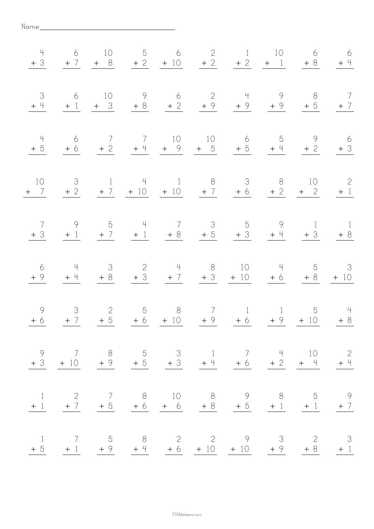| 4                      | $6\overline{6}$                  | 10             |                |            | 5 6 2 1 10<br>$+3$ $+7$ $+8$ $+2$ $+10$ $+2$ $+2$ $+1$ $+8$                                                                         |                 | 6 | 6<br>$+$ 4                       |
|------------------------|----------------------------------|----------------|----------------|------------|-------------------------------------------------------------------------------------------------------------------------------------|-----------------|---|----------------------------------|
| 3<br>$+4$              | $6\overline{6}$                  |                |                |            | 10 9 6 2 4 9 8 7<br>$+1$ + 3 + 8 + 2 + 9 + 9 + 9                                                                                    |                 |   | $+5$ + 7                         |
| $\frac{4}{1}$<br>$+5$  | 6<br>$+6$                        | $\overline{7}$ | $\overline{7}$ |            | 10 10 6 5<br>$+2$ $+4$ $+9$ $+5$ $+5$ $+4$ $+2$                                                                                     |                 |   | 9 6<br>$+3$                      |
| 10<br>$+$ 7            | $\overline{\mathcal{S}}$<br>$+2$ |                |                |            | 1 4 1 8 3 8 10<br>$+7$ $+10$ $+10$ $+7$ $+6$ $+2$ $+2$                                                                              |                 |   | $\overline{\phantom{2}}$<br>$+1$ |
| $\overline{7}$<br>$+3$ | $\overline{9}$                   |                |                |            | 5 4 7 3 5 9 1 1<br>$+1$ $+7$ $+1$ $+8$ $+5$ $+3$ $+4$ $+3$ $+8$                                                                     |                 |   |                                  |
| 6<br>$+9$              | 4<br>$+$ 4                       | $+8$           |                |            | 3 2 4 8 10 4 5 3<br>$+3$ $+7$ $+3$ $+10$ $+6$ $+8$ $+10$                                                                            |                 |   |                                  |
| 9<br>$+6$              | $+7$                             | $+5$           |                | $+6$ $+10$ | 3 2 5 8 7 1 1<br>$+9$                                                                                                               | $+6$ $+9$ $+10$ |   | 5 4<br>$+8$                      |
|                        |                                  |                |                |            | $\begin{array}{ccccccccc}\n9 & 7 & 8 & 5 & 3 & 1 & 7 & 4 & 10 & 2 \\ +3 & +10 & +9 & +5 & +3 & +4 & +6 & +2 & +4 & +4\n\end{array}$ |                 |   |                                  |
|                        |                                  |                |                |            | $\begin{array}{cccccccc} 1 & 2 & 7 & 8 & 10 & 8 & 9 & 8 & 5 & 9 \\ +1 & +7 & +5 & +6 & +6 & +8 & +5 & +1 & +1 & +7 \end{array}$     |                 |   |                                  |
| $\lceil$               | $\overline{7}$                   |                |                |            | 5 8 2 2 9 3 2 3<br>$+5$ $+1$ $+9$ $+4$ $+6$ $+10$ $+10$ $+9$ $+8$ $+1$                                                              |                 |   |                                  |

Name